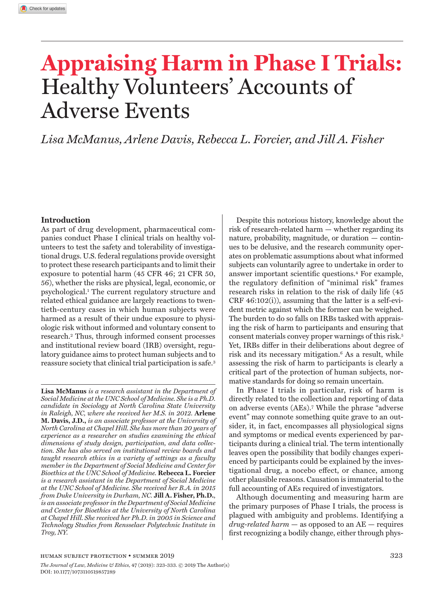# **Appraising Harm in Phase I Trials:**  Healthy Volunteers' Accounts of Adverse Events

*Lisa McManus, Arlene Davis, Rebecca L. Forcier, and Jill A. Fisher*

#### **Introduction**

As part of drug development, pharmaceutical companies conduct Phase I clinical trials on healthy volunteers to test the safety and tolerability of investigational drugs. U.S. federal regulations provide oversight to protect these research participants and to limit their exposure to potential harm (45 CFR 46; 21 CFR 50, 56), whether the risks are physical, legal, economic, or psychological.1 The current regulatory structure and related ethical guidance are largely reactions to twentieth-century cases in which human subjects were harmed as a result of their undue exposure to physiologic risk without informed and voluntary consent to research.2 Thus, through informed consent processes and institutional review board (IRB) oversight, regulatory guidance aims to protect human subjects and to reassure society that clinical trial participation is safe.3

**Lisa McManus** *is a research assistant in the Department of Social Medicine at the UNC School of Medicine. She is a Ph.D. candidate in Sociology at North Carolina State University in Raleigh, NC, where she received her M.S. in 2012.* **Arlene M. Davis, J.D.,** *is an associate professor at the University of North Carolina at Chapel Hill. She has more than 20 years of experience as a researcher on studies examining the ethical dimensions of study design, participation, and data collection. She has also served on institutional review boards and taught research ethics in a variety of settings as a faculty member in the Department of Social Medicine and Center for Bioethics at the UNC School of Medicine.* **Rebecca L. Forcier** *is a research assistant in the Department of Social Medicine at the UNC School of Medicine. She received her B.A. in 2015 from Duke University in Durham, NC.* **Jill A. Fisher, Ph.D.**, *is an associate professor in the Department of Social Medicine and Center for Bioethics at the University of North Carolina at Chapel Hill. She received her Ph.D. in 2005 in Science and Technology Studies from Rensselaer Polytechnic Institute in Troy, NY.*

Despite this notorious history, knowledge about the risk of research-related harm — whether regarding its nature, probability, magnitude, or duration — continues to be delusive, and the research community operates on problematic assumptions about what informed subjects can voluntarily agree to undertake in order to answer important scientific questions.4 For example, the regulatory definition of "minimal risk" frames research risks in relation to the risk of daily life (45 CRF 46:102(i)), assuming that the latter is a self-evident metric against which the former can be weighed. The burden to do so falls on IRBs tasked with appraising the risk of harm to participants and ensuring that consent materials convey proper warnings of this risk.5 Yet, IRBs differ in their deliberations about degree of risk and its necessary mitigation.<sup>6</sup> As a result, while assessing the risk of harm to participants is clearly a critical part of the protection of human subjects, normative standards for doing so remain uncertain.

In Phase I trials in particular, risk of harm is directly related to the collection and reporting of data on adverse events (AEs).7 While the phrase "adverse event" may connote something quite grave to an outsider, it, in fact, encompasses all physiological signs and symptoms or medical events experienced by participants during a clinical trial. The term intentionally leaves open the possibility that bodily changes experienced by participants could be explained by the investigational drug, a nocebo effect, or chance, among other plausible reasons. Causation is immaterial to the full accounting of AEs required of investigators.

Although documenting and measuring harm are the primary purposes of Phase I trials, the process is plagued with ambiguity and problems. Identifying a *drug-related harm* — as opposed to an AE — requires first recognizing a bodily change, either through phys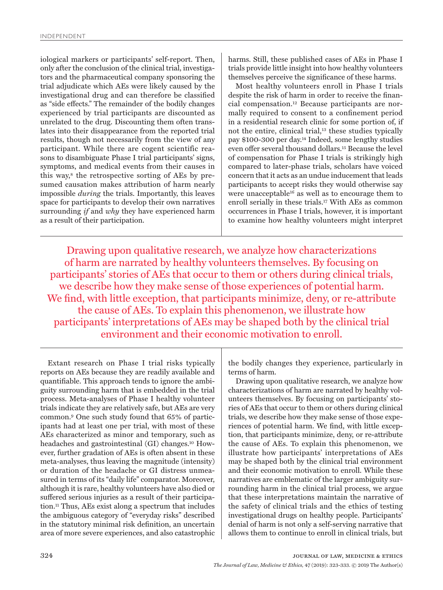iological markers or participants' self-report. Then, only after the conclusion of the clinical trial, investigators and the pharmaceutical company sponsoring the trial adjudicate which AEs were likely caused by the investigational drug and can therefore be classified as "side effects." The remainder of the bodily changes experienced by trial participants are discounted as unrelated to the drug. Discounting them often translates into their disappearance from the reported trial results, though not necessarily from the view of any participant. While there are cogent scientific reasons to disambiguate Phase I trial participants' signs, symptoms, and medical events from their causes in this way,<sup>8</sup> the retrospective sorting of AEs by presumed causation makes attribution of harm nearly impossible *during* the trials. Importantly, this leaves space for participants to develop their own narratives surrounding *if* and *why* they have experienced harm as a result of their participation.

harms. Still, these published cases of AEs in Phase I trials provide little insight into how healthy volunteers themselves perceive the significance of these harms.

Most healthy volunteers enroll in Phase I trials despite the risk of harm in order to receive the financial compensation.12 Because participants are normally required to consent to a confinement period in a residential research clinic for some portion of, if not the entire, clinical trial,13 these studies typically pay \$100-300 per day.14 Indeed, some lengthy studies even offer several thousand dollars.15 Because the level of compensation for Phase I trials is strikingly high compared to later-phase trials, scholars have voiced concern that it acts as an undue inducement that leads participants to accept risks they would otherwise say were unacceptable16 as well as to encourage them to enroll serially in these trials.17 With AEs as common occurrences in Phase I trials, however, it is important to examine how healthy volunteers might interpret

Drawing upon qualitative research, we analyze how characterizations of harm are narrated by healthy volunteers themselves. By focusing on participants' stories of AEs that occur to them or others during clinical trials, we describe how they make sense of those experiences of potential harm. We find, with little exception, that participants minimize, deny, or re-attribute the cause of AEs. To explain this phenomenon, we illustrate how participants' interpretations of AEs may be shaped both by the clinical trial environment and their economic motivation to enroll.

Extant research on Phase I trial risks typically reports on AEs because they are readily available and quantifiable. This approach tends to ignore the ambiguity surrounding harm that is embedded in the trial process. Meta-analyses of Phase I healthy volunteer trials indicate they are relatively safe, but AEs are very common.9 One such study found that 65% of participants had at least one per trial, with most of these AEs characterized as minor and temporary, such as headaches and gastrointestinal (GI) changes.10 However, further gradation of AEs is often absent in these meta-analyses, thus leaving the magnitude (intensity) or duration of the headache or GI distress unmeasured in terms of its "daily life" comparator. Moreover, although it is rare, healthy volunteers have also died or suffered serious injuries as a result of their participation.11 Thus, AEs exist along a spectrum that includes the ambiguous category of "everyday risks" described in the statutory minimal risk definition, an uncertain area of more severe experiences, and also catastrophic

the bodily changes they experience, particularly in terms of harm.

Drawing upon qualitative research, we analyze how characterizations of harm are narrated by healthy volunteers themselves. By focusing on participants' stories of AEs that occur to them or others during clinical trials, we describe how they make sense of those experiences of potential harm. We find, with little exception, that participants minimize, deny, or re-attribute the cause of AEs. To explain this phenomenon, we illustrate how participants' interpretations of AEs may be shaped both by the clinical trial environment and their economic motivation to enroll. While these narratives are emblematic of the larger ambiguity surrounding harm in the clinical trial process, we argue that these interpretations maintain the narrative of the safety of clinical trials and the ethics of testing investigational drugs on healthy people. Participants' denial of harm is not only a self-serving narrative that allows them to continue to enroll in clinical trials, but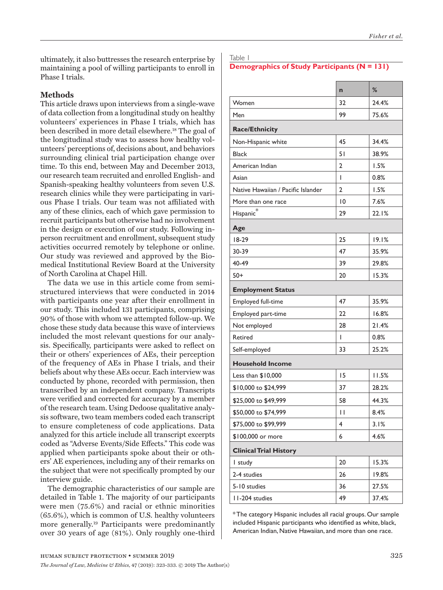ultimately, it also buttresses the research enterprise by maintaining a pool of willing participants to enroll in Phase I trials.

## **Methods**

This article draws upon interviews from a single-wave of data collection from a longitudinal study on healthy volunteers' experiences in Phase I trials, which has been described in more detail elsewhere.18 The goal of the longitudinal study was to assess how healthy volunteers' perceptions of, decisions about, and behaviors surrounding clinical trial participation change over time. To this end, between May and December 2013, our research team recruited and enrolled English- and Spanish-speaking healthy volunteers from seven U.S. research clinics while they were participating in various Phase I trials. Our team was not affiliated with any of these clinics, each of which gave permission to recruit participants but otherwise had no involvement in the design or execution of our study. Following inperson recruitment and enrollment, subsequent study activities occurred remotely by telephone or online. Our study was reviewed and approved by the Biomedical Institutional Review Board at the University of North Carolina at Chapel Hill.

The data we use in this article come from semistructured interviews that were conducted in 2014 with participants one year after their enrollment in our study. This included 131 participants, comprising 90% of those with whom we attempted follow-up. We chose these study data because this wave of interviews included the most relevant questions for our analysis. Specifically, participants were asked to reflect on their or others' experiences of AEs, their perception of the frequency of AEs in Phase I trials, and their beliefs about why these AEs occur. Each interview was conducted by phone, recorded with permission, then transcribed by an independent company. Transcripts were verified and corrected for accuracy by a member of the research team. Using Dedoose qualitative analysis software, two team members coded each transcript to ensure completeness of code applications. Data analyzed for this article include all transcript excerpts coded as "Adverse Events/Side Effects." This code was applied when participants spoke about their or others' AE experiences, including any of their remarks on the subject that were not specifically prompted by our interview guide.

The demographic characteristics of our sample are detailed in Table 1. The majority of our participants were men (75.6%) and racial or ethnic minorities (65.6%), which is common of U.S. healthy volunteers more generally.19 Participants were predominantly over 30 years of age (81%). Only roughly one-third

# Table 1 **Demographics of Study Participants (N = 131)**

|                                    | $\mathbf n$    | %     |
|------------------------------------|----------------|-------|
| Women                              | 32             | 24.4% |
| Men                                | 99             | 75.6% |
| <b>Race/Ethnicity</b>              |                |       |
| Non-Hispanic white                 | 45             | 34.4% |
| <b>Black</b>                       | 51             | 38.9% |
| American Indian                    | $\overline{2}$ | 1.5%  |
| Asian                              | ı              | 0.8%  |
| Native Hawaiian / Pacific Islander | 2              | 1.5%  |
| More than one race                 | 10             | 7.6%  |
| $\mathsf{Hispanic}^*$              | 29             | 22.1% |
| Age                                |                |       |
| $18-29$                            | 25             | 19.1% |
| 30-39                              | 47             | 35.9% |
| 40-49                              | 39             | 29.8% |
| $50+$                              | 20             | 15.3% |
| <b>Employment Status</b>           |                |       |
| Employed full-time                 | 47             | 35.9% |
| Employed part-time                 | 22             | 16.8% |
| Not employed                       | 28             | 21.4% |
| Retired                            | ı              | 0.8%  |
| Self-employed                      | 33             | 25.2% |
| <b>Household Income</b>            |                |       |
| Less than \$10,000                 | 15             | 11.5% |
| \$10,000 to \$24,999               | 37             | 28.2% |
| \$25,000 to \$49,999               | 58             | 44.3% |
| \$50,000 to \$74,999               | П              | 8.4%  |
| \$75,000 to \$99,999               | 4              | 3.1%  |
| \$100,000 or more                  | 6              | 4.6%  |
| <b>Clinical Trial History</b>      |                |       |
| I study                            | 20             | 15.3% |
| 2-4 studies                        | 26             | 19.8% |
| 5-10 studies                       | 36             | 27.5% |
| II-204 studies                     | 49             | 37.4% |

\* The category Hispanic includes all racial groups. Our sample included Hispanic participants who identified as white, black, American Indian, Native Hawaiian, and more than one race.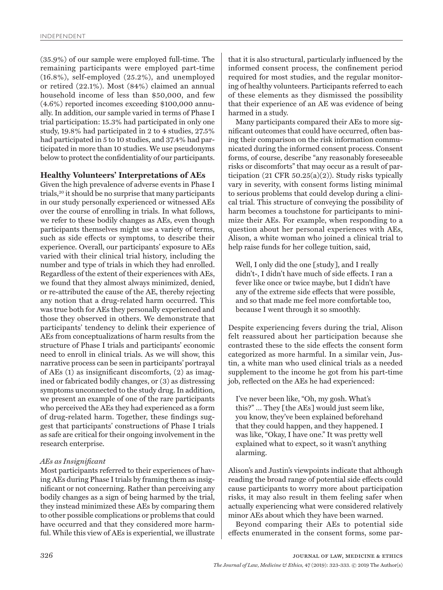(35.9%) of our sample were employed full-time. The remaining participants were employed part-time (16.8%), self-employed (25.2%), and unemployed or retired (22.1%). Most (84%) claimed an annual household income of less than \$50,000, and few (4.6%) reported incomes exceeding \$100,000 annually. In addition, our sample varied in terms of Phase I trial participation: 15.3% had participated in only one study, 19.8% had participated in 2 to 4 studies, 27.5% had participated in 5 to 10 studies, and 37.4% had participated in more than 10 studies. We use pseudonyms below to protect the confidentiality of our participants.

## **Healthy Volunteers' Interpretations of AEs**

Given the high prevalence of adverse events in Phase I trials,20 it should be no surprise that many participants in our study personally experienced or witnessed AEs over the course of enrolling in trials. In what follows, we refer to these bodily changes as AEs, even though participants themselves might use a variety of terms, such as side effects or symptoms, to describe their experience. Overall, our participants' exposure to AEs varied with their clinical trial history, including the number and type of trials in which they had enrolled. Regardless of the extent of their experiences with AEs, we found that they almost always minimized, denied, or re-attributed the cause of the AE, thereby rejecting any notion that a drug-related harm occurred. This was true both for AEs they personally experienced and those they observed in others. We demonstrate that participants' tendency to delink their experience of AEs from conceptualizations of harm results from the structure of Phase I trials and participants' economic need to enroll in clinical trials. As we will show, this narrative process can be seen in participants' portrayal of AEs (1) as insignificant discomforts, (2) as imagined or fabricated bodily changes, or (3) as distressing symptoms unconnected to the study drug. In addition, we present an example of one of the rare participants who perceived the AEs they had experienced as a form of drug-related harm. Together, these findings suggest that participants' constructions of Phase I trials as safe are critical for their ongoing involvement in the research enterprise.

### *AEs as Insignificant*

Most participants referred to their experiences of having AEs during Phase I trials by framing them as insignificant or not concerning. Rather than perceiving any bodily changes as a sign of being harmed by the trial, they instead minimized these AEs by comparing them to other possible complications or problems that could have occurred and that they considered more harmful. While this view of AEs is experiential, we illustrate

that it is also structural, particularly influenced by the informed consent process, the confinement period required for most studies, and the regular monitoring of healthy volunteers. Participants referred to each of these elements as they dismissed the possibility that their experience of an AE was evidence of being harmed in a study.

Many participants compared their AEs to more significant outcomes that could have occurred, often basing their comparison on the risk information communicated during the informed consent process. Consent forms, of course, describe "any reasonably foreseeable risks or discomforts" that may occur as a result of participation (21 CFR 50.25(a)(2)). Study risks typically vary in severity, with consent forms listing minimal to serious problems that could develop during a clinical trial. This structure of conveying the possibility of harm becomes a touchstone for participants to minimize their AEs. For example, when responding to a question about her personal experiences with AEs, Alison, a white woman who joined a clinical trial to help raise funds for her college tuition, said,

Well, I only did the one [study], and I really didn't-, I didn't have much of side effects. I ran a fever like once or twice maybe, but I didn't have any of the extreme side effects that were possible, and so that made me feel more comfortable too, because I went through it so smoothly.

Despite experiencing fevers during the trial, Alison felt reassured about her participation because she contrasted these to the side effects the consent form categorized as more harmful. In a similar vein, Justin, a white man who used clinical trials as a needed supplement to the income he got from his part-time job, reflected on the AEs he had experienced:

I've never been like, "Oh, my gosh. What's this?" … They [the AEs] would just seem like, you know, they've been explained beforehand that they could happen, and they happened. I was like, "Okay, I have one." It was pretty well explained what to expect, so it wasn't anything alarming.

Alison's and Justin's viewpoints indicate that although reading the broad range of potential side effects could cause participants to worry more about participation risks, it may also result in them feeling safer when actually experiencing what were considered relatively minor AEs about which they have been warned.

Beyond comparing their AEs to potential side effects enumerated in the consent forms, some par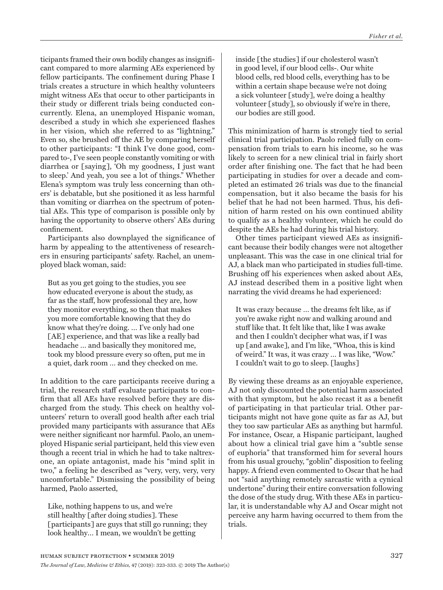ticipants framed their own bodily changes as insignificant compared to more alarming AEs experienced by fellow participants. The confinement during Phase I trials creates a structure in which healthy volunteers might witness AEs that occur to other participants in their study or different trials being conducted concurrently. Elena, an unemployed Hispanic woman, described a study in which she experienced flashes in her vision, which she referred to as "lightning." Even so, she brushed off the AE by comparing herself to other participants: "I think I've done good, compared to-, I've seen people constantly vomiting or with diarrhea or [saying], 'Oh my goodness, I just want to sleep.' And yeah, you see a lot of things." Whether Elena's symptom was truly less concerning than others' is debatable, but she positioned it as less harmful than vomiting or diarrhea on the spectrum of potential AEs. This type of comparison is possible only by having the opportunity to observe others' AEs during confinement.

Participants also downplayed the significance of harm by appealing to the attentiveness of researchers in ensuring participants' safety. Rachel, an unemployed black woman, said:

But as you get going to the studies, you see how educated everyone is about the study, as far as the staff, how professional they are, how they monitor everything, so then that makes you more comfortable knowing that they do know what they're doing. … I've only had one [AE] experience, and that was like a really bad headache … and basically they monitored me, took my blood pressure every so often, put me in a quiet, dark room … and they checked on me.

In addition to the care participants receive during a trial, the research staff evaluate participants to confirm that all AEs have resolved before they are discharged from the study. This check on healthy volunteers' return to overall good health after each trial provided many participants with assurance that AEs were neither significant nor harmful. Paolo, an unemployed Hispanic serial participant, held this view even though a recent trial in which he had to take naltrexone, an opiate antagonist, made his "mind split in two," a feeling he described as "very, very, very, very uncomfortable." Dismissing the possibility of being harmed, Paolo asserted,

Like, nothing happens to us, and we're still healthy [after doing studies]. These [participants] are guys that still go running; they look healthy… I mean, we wouldn't be getting

inside [the studies] if our cholesterol wasn't in good level, if our blood cells-. Our white blood cells, red blood cells, everything has to be within a certain shape because we're not doing a sick volunteer [study], we're doing a healthy volunteer [study], so obviously if we're in there, our bodies are still good.

This minimization of harm is strongly tied to serial clinical trial participation. Paolo relied fully on compensation from trials to earn his income, so he was likely to screen for a new clinical trial in fairly short order after finishing one. The fact that he had been participating in studies for over a decade and completed an estimated 26 trials was due to the financial compensation, but it also became the basis for his belief that he had not been harmed. Thus, his definition of harm rested on his own continued ability to qualify as a healthy volunteer, which he could do despite the AEs he had during his trial history.

Other times participant viewed AEs as insignificant because their bodily changes were not altogether unpleasant. This was the case in one clinical trial for AJ, a black man who participated in studies full-time. Brushing off his experiences when asked about AEs, AJ instead described them in a positive light when narrating the vivid dreams he had experienced:

It was crazy because … the dreams felt like, as if you're awake right now and walking around and stuff like that. It felt like that, like I was awake and then I couldn't decipher what was, if I was up [and awake], and I'm like, "Whoa, this is kind of weird." It was, it was crazy … I was like, "Wow." I couldn't wait to go to sleep. [laughs]

By viewing these dreams as an enjoyable experience, AJ not only discounted the potential harm associated with that symptom, but he also recast it as a benefit of participating in that particular trial. Other participants might not have gone quite as far as AJ, but they too saw particular AEs as anything but harmful. For instance, Oscar, a Hispanic participant, laughed about how a clinical trial gave him a "subtle sense of euphoria" that transformed him for several hours from his usual grouchy, "goblin" disposition to feeling happy. A friend even commented to Oscar that he had not "said anything remotely sarcastic with a cynical undertone" during their entire conversation following the dose of the study drug. With these AEs in particular, it is understandable why AJ and Oscar might not perceive any harm having occurred to them from the trials.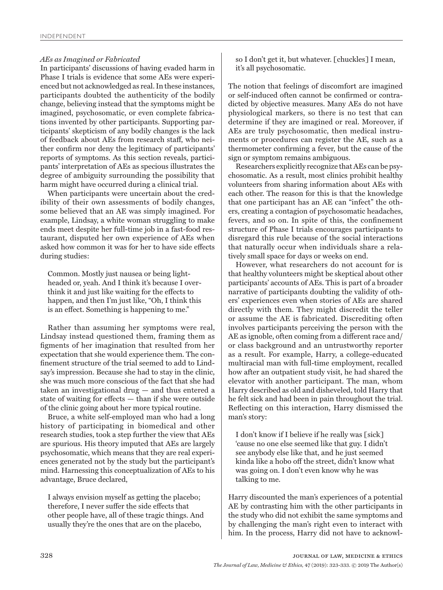#### *AEs as Imagined or Fabricated*

In participants' discussions of having evaded harm in Phase I trials is evidence that some AEs were experienced but not acknowledged as real. In these instances, participants doubted the authenticity of the bodily change, believing instead that the symptoms might be imagined, psychosomatic, or even complete fabrications invented by other participants. Supporting participants' skepticism of any bodily changes is the lack of feedback about AEs from research staff, who neither confirm nor deny the legitimacy of participants' reports of symptoms. As this section reveals, participants' interpretation of AEs as specious illustrates the degree of ambiguity surrounding the possibility that harm might have occurred during a clinical trial.

When participants were uncertain about the credibility of their own assessments of bodily changes, some believed that an AE was simply imagined. For example, Lindsay, a white woman struggling to make ends meet despite her full-time job in a fast-food restaurant, disputed her own experience of AEs when asked how common it was for her to have side effects during studies:

Common. Mostly just nausea or being lightheaded or, yeah. And I think it's because I overthink it and just like waiting for the effects to happen, and then I'm just like, "Oh, I think this is an effect. Something is happening to me."

Rather than assuming her symptoms were real, Lindsay instead questioned them, framing them as figments of her imagination that resulted from her expectation that she would experience them. The confinement structure of the trial seemed to add to Lindsay's impression. Because she had to stay in the clinic, she was much more conscious of the fact that she had taken an investigational drug — and thus entered a state of waiting for effects — than if she were outside of the clinic going about her more typical routine.

Bruce, a white self-employed man who had a long history of participating in biomedical and other research studies, took a step further the view that AEs are spurious. His theory imputed that AEs are largely psychosomatic, which means that they are real experiences generated not by the study but the participant's mind. Harnessing this conceptualization of AEs to his advantage, Bruce declared,

I always envision myself as getting the placebo; therefore, I never suffer the side effects that other people have, all of these tragic things. And usually they're the ones that are on the placebo,

so I don't get it, but whatever. [chuckles] I mean, it's all psychosomatic.

The notion that feelings of discomfort are imagined or self-induced often cannot be confirmed or contradicted by objective measures. Many AEs do not have physiological markers, so there is no test that can determine if they are imagined or real. Moreover, if AEs are truly psychosomatic, then medical instruments or procedures can register the AE, such as a thermometer confirming a fever, but the cause of the sign or symptom remains ambiguous.

Researchers explicitly recognize that AEs can be psychosomatic. As a result, most clinics prohibit healthy volunteers from sharing information about AEs with each other. The reason for this is that the knowledge that one participant has an AE can "infect" the others, creating a contagion of psychosomatic headaches, fevers, and so on. In spite of this, the confinement structure of Phase I trials encourages participants to disregard this rule because of the social interactions that naturally occur when individuals share a relatively small space for days or weeks on end.

However, what researchers do not account for is that healthy volunteers might be skeptical about other participants' accounts of AEs. This is part of a broader narrative of participants doubting the validity of others' experiences even when stories of AEs are shared directly with them. They might discredit the teller or assume the AE is fabricated. Discrediting often involves participants perceiving the person with the AE as ignoble, often coming from a different race and/ or class background and an untrustworthy reporter as a result. For example, Harry, a college-educated multiracial man with full-time employment, recalled how after an outpatient study visit, he had shared the elevator with another participant. The man, whom Harry described as old and disheveled, told Harry that he felt sick and had been in pain throughout the trial. Reflecting on this interaction, Harry dismissed the man's story:

I don't know if I believe if he really was [sick] 'cause no one else seemed like that guy. I didn't see anybody else like that, and he just seemed kinda like a hobo off the street, didn't know what was going on. I don't even know why he was talking to me.

Harry discounted the man's experiences of a potential AE by contrasting him with the other participants in the study who did not exhibit the same symptoms and by challenging the man's right even to interact with him. In the process, Harry did not have to acknowl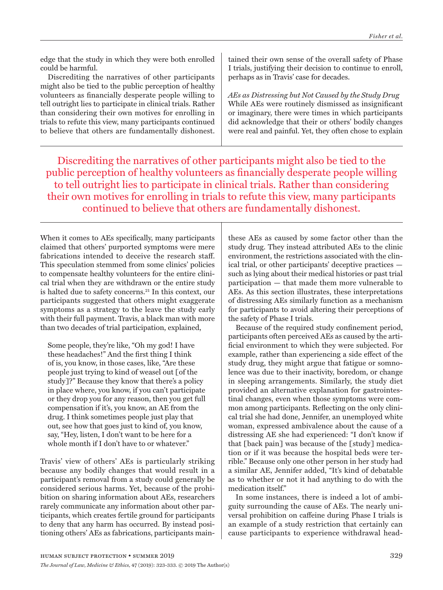edge that the study in which they were both enrolled could be harmful.

Discrediting the narratives of other participants might also be tied to the public perception of healthy volunteers as financially desperate people willing to tell outright lies to participate in clinical trials. Rather than considering their own motives for enrolling in trials to refute this view, many participants continued to believe that others are fundamentally dishonest.

tained their own sense of the overall safety of Phase I trials, justifying their decision to continue to enroll, perhaps as in Travis' case for decades.

*AEs as Distressing but Not Caused by the Study Drug* While AEs were routinely dismissed as insignificant or imaginary, there were times in which participants did acknowledge that their or others' bodily changes were real and painful. Yet, they often chose to explain

Discrediting the narratives of other participants might also be tied to the public perception of healthy volunteers as financially desperate people willing to tell outright lies to participate in clinical trials. Rather than considering their own motives for enrolling in trials to refute this view, many participants continued to believe that others are fundamentally dishonest.

When it comes to AEs specifically, many participants claimed that others' purported symptoms were mere fabrications intended to deceive the research staff. This speculation stemmed from some clinics' policies to compensate healthy volunteers for the entire clinical trial when they are withdrawn or the entire study is halted due to safety concerns.21 In this context, our participants suggested that others might exaggerate symptoms as a strategy to the leave the study early with their full payment. Travis, a black man with more than two decades of trial participation, explained,

Some people, they're like, "Oh my god! I have these headaches!" And the first thing I think of is, you know, in those cases, like, "Are these people just trying to kind of weasel out [of the study]?" Because they know that there's a policy in place where, you know, if you can't participate or they drop you for any reason, then you get full compensation if it's, you know, an AE from the drug. I think sometimes people just play that out, see how that goes just to kind of, you know, say, "Hey, listen, I don't want to be here for a whole month if I don't have to or whatever."

Travis' view of others' AEs is particularly striking because any bodily changes that would result in a participant's removal from a study could generally be considered serious harms. Yet, because of the prohibition on sharing information about AEs, researchers rarely communicate any information about other participants, which creates fertile ground for participants to deny that any harm has occurred. By instead positioning others' AEs as fabrications, participants main-

these AEs as caused by some factor other than the study drug. They instead attributed AEs to the clinic environment, the restrictions associated with the clinical trial, or other participants' deceptive practices such as lying about their medical histories or past trial participation — that made them more vulnerable to AEs. As this section illustrates, these interpretations of distressing AEs similarly function as a mechanism for participants to avoid altering their perceptions of the safety of Phase I trials.

Because of the required study confinement period, participants often perceived AEs as caused by the artificial environment to which they were subjected. For example, rather than experiencing a side effect of the study drug, they might argue that fatigue or somnolence was due to their inactivity, boredom, or change in sleeping arrangements. Similarly, the study diet provided an alternative explanation for gastrointestinal changes, even when those symptoms were common among participants. Reflecting on the only clinical trial she had done, Jennifer, an unemployed white woman, expressed ambivalence about the cause of a distressing AE she had experienced: "I don't know if that [back pain] was because of the [study] medication or if it was because the hospital beds were terrible." Because only one other person in her study had a similar AE, Jennifer added, "It's kind of debatable as to whether or not it had anything to do with the medication itself."

In some instances, there is indeed a lot of ambiguity surrounding the cause of AEs. The nearly universal prohibition on caffeine during Phase I trials is an example of a study restriction that certainly can cause participants to experience withdrawal head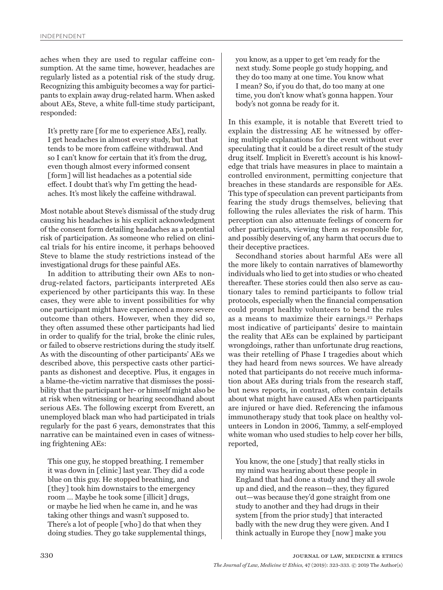aches when they are used to regular caffeine consumption. At the same time, however, headaches are regularly listed as a potential risk of the study drug. Recognizing this ambiguity becomes a way for participants to explain away drug-related harm. When asked about AEs, Steve, a white full-time study participant, responded:

It's pretty rare [for me to experience AEs], really. I get headaches in almost every study, but that tends to be more from caffeine withdrawal. And so I can't know for certain that it's from the drug, even though almost every informed consent [form] will list headaches as a potential side effect. I doubt that's why I'm getting the headaches. It's most likely the caffeine withdrawal.

Most notable about Steve's dismissal of the study drug causing his headaches is his explicit acknowledgment of the consent form detailing headaches as a potential risk of participation. As someone who relied on clinical trials for his entire income, it perhaps behooved Steve to blame the study restrictions instead of the investigational drugs for these painful AEs.

In addition to attributing their own AEs to nondrug-related factors, participants interpreted AEs experienced by other participants this way. In these cases, they were able to invent possibilities for why one participant might have experienced a more severe outcome than others. However, when they did so, they often assumed these other participants had lied in order to qualify for the trial, broke the clinic rules, or failed to observe restrictions during the study itself. As with the discounting of other participants' AEs we described above, this perspective casts other participants as dishonest and deceptive. Plus, it engages in a blame-the-victim narrative that dismisses the possibility that the participant her- or himself might also be at risk when witnessing or hearing secondhand about serious AEs. The following excerpt from Everett, an unemployed black man who had participated in trials regularly for the past 6 years, demonstrates that this narrative can be maintained even in cases of witnessing frightening AEs:

This one guy, he stopped breathing. I remember it was down in [clinic] last year. They did a code blue on this guy. He stopped breathing, and [they] took him downstairs to the emergency room … Maybe he took some [illicit] drugs, or maybe he lied when he came in, and he was taking other things and wasn't supposed to. There's a lot of people [who] do that when they doing studies. They go take supplemental things, you know, as a upper to get 'em ready for the next study. Some people go study hopping, and they do too many at one time. You know what I mean? So, if you do that, do too many at one time, you don't know what's gonna happen. Your body's not gonna be ready for it.

In this example, it is notable that Everett tried to explain the distressing AE he witnessed by offering multiple explanations for the event without ever speculating that it could be a direct result of the study drug itself. Implicit in Everett's account is his knowledge that trials have measures in place to maintain a controlled environment, permitting conjecture that breaches in these standards are responsible for AEs. This type of speculation can prevent participants from fearing the study drugs themselves, believing that following the rules alleviates the risk of harm. This perception can also attenuate feelings of concern for other participants, viewing them as responsible for, and possibly deserving of, any harm that occurs due to their deceptive practices.

Secondhand stories about harmful AEs were all the more likely to contain narratives of blameworthy individuals who lied to get into studies or who cheated thereafter. These stories could then also serve as cautionary tales to remind participants to follow trial protocols, especially when the financial compensation could prompt healthy volunteers to bend the rules as a means to maximize their earnings.22 Perhaps most indicative of participants' desire to maintain the reality that AEs can be explained by participant wrongdoings, rather than unfortunate drug reactions, was their retelling of Phase I tragedies about which they had heard from news sources. We have already noted that participants do not receive much information about AEs during trials from the research staff, but news reports, in contrast, often contain details about what might have caused AEs when participants are injured or have died. Referencing the infamous immunotherapy study that took place on healthy volunteers in London in 2006, Tammy, a self-employed white woman who used studies to help cover her bills, reported,

You know, the one [study] that really sticks in my mind was hearing about these people in England that had done a study and they all swole up and died, and the reason—they, they figured out—was because they'd gone straight from one study to another and they had drugs in their system [from the prior study] that interacted badly with the new drug they were given. And I think actually in Europe they [now] make you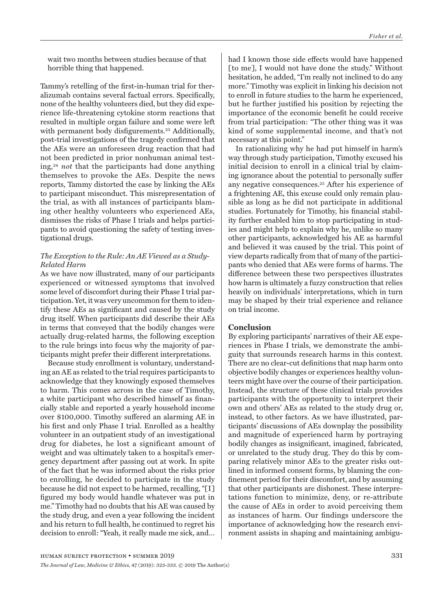wait two months between studies because of that horrible thing that happened.

Tammy's retelling of the first-in-human trial for theralizumab contains several factual errors. Specifically, none of the healthy volunteers died, but they did experience life-threatening cytokine storm reactions that resulted in multiple organ failure and some were left with permanent body disfigurements.<sup>23</sup> Additionally, post-trial investigations of the tragedy confirmed that the AEs were an unforeseen drug reaction that had not been predicted in prior nonhuman animal testing,24 *not* that the participants had done anything themselves to provoke the AEs. Despite the news reports, Tammy distorted the case by linking the AEs to participant misconduct. This misrepresentation of the trial, as with all instances of participants blaming other healthy volunteers who experienced AEs, dismisses the risks of Phase I trials and helps participants to avoid questioning the safety of testing investigational drugs.

## *The Exception to the Rule: An AE Viewed as a Study-Related Harm*

As we have now illustrated, many of our participants experienced or witnessed symptoms that involved some level of discomfort during their Phase I trial participation. Yet, it was very uncommon for them to identify these AEs as significant and caused by the study drug itself. When participants did describe their AEs in terms that conveyed that the bodily changes were actually drug-related harms, the following exception to the rule brings into focus why the majority of participants might prefer their different interpretations.

Because study enrollment is voluntary, understanding an AE as related to the trial requires participants to acknowledge that they knowingly exposed themselves to harm. This comes across in the case of Timothy, a white participant who described himself as financially stable and reported a yearly household income over \$100,000. Timothy suffered an alarming AE in his first and only Phase I trial. Enrolled as a healthy volunteer in an outpatient study of an investigational drug for diabetes, he lost a significant amount of weight and was ultimately taken to a hospital's emergency department after passing out at work. In spite of the fact that he was informed about the risks prior to enrolling, he decided to participate in the study because he did not expect to be harmed, recalling, "[I] figured my body would handle whatever was put in me." Timothy had no doubts that his AE was caused by the study drug, and even a year following the incident and his return to full health, he continued to regret his decision to enroll: "Yeah, it really made me sick, and…

had I known those side effects would have happened [to me], I would not have done the study." Without hesitation, he added, "I'm really not inclined to do any more." Timothy was explicit in linking his decision not to enroll in future studies to the harm he experienced, but he further justified his position by rejecting the importance of the economic benefit he could receive from trial participation: "The other thing was it was kind of some supplemental income, and that's not necessary at this point."

In rationalizing why he had put himself in harm's way through study participation, Timothy excused his initial decision to enroll in a clinical trial by claiming ignorance about the potential to personally suffer any negative consequences.25 After his experience of a frightening AE, this excuse could only remain plausible as long as he did not participate in additional studies. Fortunately for Timothy, his financial stability further enabled him to stop participating in studies and might help to explain why he, unlike so many other participants, acknowledged his AE as harmful and believed it was caused by the trial. This point of view departs radically from that of many of the participants who denied that AEs were forms of harms. The difference between these two perspectives illustrates how harm is ultimately a fuzzy construction that relies heavily on individuals' interpretations, which in turn may be shaped by their trial experience and reliance on trial income.

## **Conclusion**

By exploring participants' narratives of their AE experiences in Phase I trials, we demonstrate the ambiguity that surrounds research harms in this context. There are no clear-cut definitions that map harm onto objective bodily changes or experiences healthy volunteers might have over the course of their participation. Instead, the structure of these clinical trials provides participants with the opportunity to interpret their own and others' AEs as related to the study drug or, instead, to other factors. As we have illustrated, participants' discussions of AEs downplay the possibility and magnitude of experienced harm by portraying bodily changes as insignificant, imagined, fabricated, or unrelated to the study drug. They do this by comparing relatively minor AEs to the greater risks outlined in informed consent forms, by blaming the confinement period for their discomfort, and by assuming that other participants are dishonest. These interpretations function to minimize, deny, or re-attribute the cause of AEs in order to avoid perceiving them as instances of harm. Our findings underscore the importance of acknowledging how the research environment assists in shaping and maintaining ambigu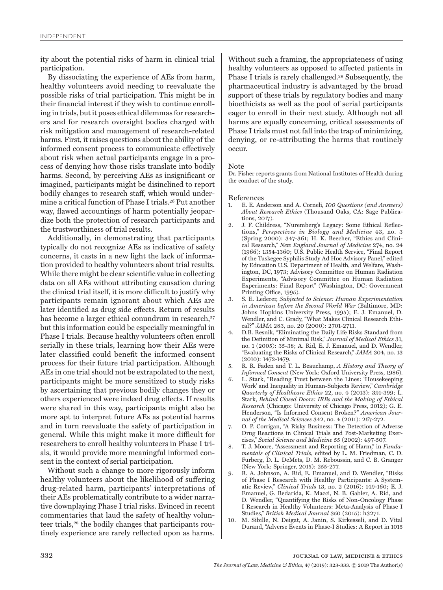ity about the potential risks of harm in clinical trial participation.

By dissociating the experience of AEs from harm, healthy volunteers avoid needing to reevaluate the possible risks of trial participation. This might be in their financial interest if they wish to continue enrolling in trials, but it poses ethical dilemmas for researchers and for research oversight bodies charged with risk mitigation and management of research-related harms. First, it raises questions about the ability of the informed consent process to communicate effectively about risk when actual participants engage in a process of denying how those risks translate into bodily harms. Second, by perceiving AEs as insignificant or imagined, participants might be disinclined to report bodily changes to research staff, which would undermine a critical function of Phase I trials.<sup>26</sup> Put another way, flawed accountings of harm potentially jeopardize both the protection of research participants and the trustworthiness of trial results.

Additionally, in demonstrating that participants typically do not recognize AEs as indicative of safety concerns, it casts in a new light the lack of information provided to healthy volunteers about trial results. While there might be clear scientific value in collecting data on all AEs without attributing causation during the clinical trial itself, it is more difficult to justify why participants remain ignorant about which AEs are later identified as drug side effects. Return of results has become a larger ethical conundrum in research,<sup>27</sup> but this information could be especially meaningful in Phase I trials. Because healthy volunteers often enroll serially in these trials, learning how their AEs were later classified could benefit the informed consent process for their future trial participation. Although AEs in one trial should not be extrapolated to the next, participants might be more sensitized to study risks by ascertaining that previous bodily changes they or others experienced were indeed drug effects. If results were shared in this way, participants might also be more apt to interpret future AEs as potential harms and in turn reevaluate the safety of participation in general. While this might make it more difficult for researchers to enroll healthy volunteers in Phase I trials, it would provide more meaningful informed consent in the context of serial participation.

Without such a change to more rigorously inform healthy volunteers about the likelihood of suffering drug-related harm, participants' interpretations of their AEs problematically contribute to a wider narrative downplaying Phase I trial risks. Evinced in recent commentaries that laud the safety of healthy volunteer trials,<sup>28</sup> the bodily changes that participants routinely experience are rarely reflected upon as harms.

Without such a framing, the appropriateness of using healthy volunteers as opposed to affected patients in Phase I trials is rarely challenged.29 Subsequently, the pharmaceutical industry is advantaged by the broad support of these trials by regulatory bodies and many bioethicists as well as the pool of serial participants eager to enroll in their next study. Although not all harms are equally concerning, critical assessments of Phase I trials must not fall into the trap of minimizing, denying, or re-attributing the harms that routinely occur.

#### Note

Dr. Fisher reports grants from National Institutes of Health during the conduct of the study.

#### References

- 1. E. E. Anderson and A. Corneli, *100 Questions (and Answers) About Research Ethics* (Thousand Oaks, CA: Sage Publications, 2017).
- 2. J. F. Childress, "Nuremberg's Legacy: Some Ethical Reflections," *Perspectives in Biology and Medicine* 43, no. 3 (Spring 2000): 347-361; H. K. Beecher, "Ethics and Clinical Research," *New England Journal of Medicine* 274, no. 24 (1966): 1354-1360; U.S. Public Health Service, "Final Report of the Tuskegee Syphilis Study Ad Hoc Advisory Panel," edited by Education U.S. Department of Health, and Welfare, Washington, DC, 1973; Advisory Committee on Human Radiation Experiments, "Advisory Committee on Human Radiation Experiments: Final Report" (Washington, DC: Government Printing Office, 1995).
- 3. S. E. Lederer, *Subjected to Science: Human Experimentation in American before the Second World War* (Baltimore, MD: Johns Hopkins University Press, 1995); E. J. Emanuel, D. Wendler, and C. Grady, "What Makes Clinical Research Ethical?" *JAMA* 283, no. 20 (2000): 2701-2711.
- 4. D.B. Resnik, "Eliminating the Daily Life Risks Standard from the Definition of Minimal Risk," *Journal of Medical Ethics* 31, no. 1 (2005): 35-38; A. Rid, E. J. Emanuel, and D. Wendler, "Evaluating the Risks of Clinical Research," *JAMA* 304, no. 13 (2010): 1472-1479.
- 5. R. R. Faden and T. L. Beauchamp, *A History and Theory of Informed Consent* (New York: Oxford University Press, 1986).
- 6. L. Stark, "Reading Trust between the Lines: 'Housekeeping Work' and Inequality in Human-Subjects Review," *Cambridge Quarterly of Healthcare Ethics* 22, no. 4 (2013): 391-399; L. Stark, *Behind Closed Doors: IRBs and the Making of Ethical Research* (Chicago: University of Chicago Press, 2012); G. E. Henderson, "Is Informed Consent Broken?" *American Journal of the Medical Sciences* 342, no. 4 (2011): 267-272.
- 7. O. P. Corrigan, "A Risky Business: The Detection of Adverse Drug Reactions in Clinical Trials and Post-Marketing Exercises," *Social Science and Medicine* 55 (2002): 497-507.
- 8. T. J. Moore, "Assessment and Reporting of Harm," in *Fundamentals of Clinical Trials*, edited by L. M. Friedman, C. D. Furberg, D. L. DeMets, D. M. Reboussin, and C. B. Granger (New York: Springer, 2015): 255-277.
- 9. R. A. Johnson, A. Rid, E. Emanuel, and D. Wendler, "Risks of Phase I Research with Healthy Participants: A Systematic Review," *Clinical Trials* 13, no. 2 (2016): 149-160; E. J. Emanuel, G. Bedarida, K. Macci, N. B. Gabler, A. Rid, and D. Wendler, "Quantifying the Risks of Non-Oncology Phase I Research in Healthy Volunteers: Meta-Analysis of Phase I Studies," *British Medical Journal* 350 (2015): h3271.
- 10. M. Sibille, N. Deigat, A. Janin, S. Kirkesseli, and D. Vital Durand, "Adverse Events in Phase-I Studies: A Report in 1015